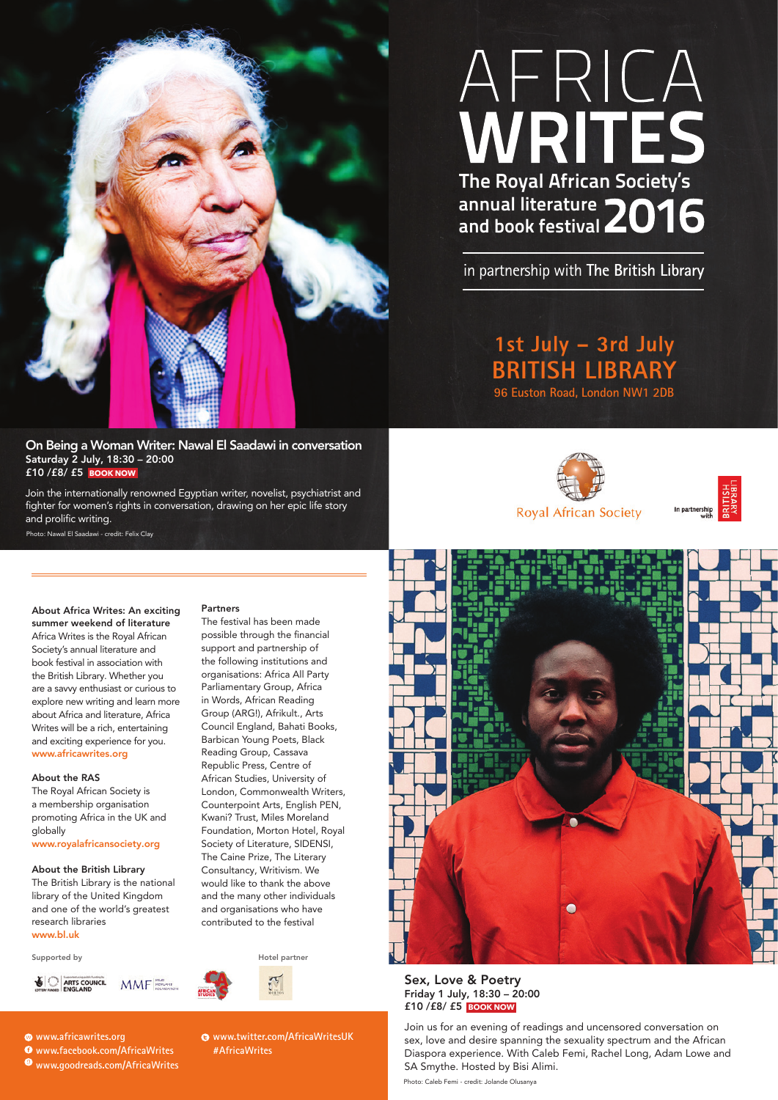

On Being a Woman Writer: Nawal El Saadawi in conversation Saturday 2 July, 18:30 – 20:00 £10 /£8/ £5 **BOOK NOW**

 Photo: Nawal El Saadawi - credit: Felix Clay Join the internationally renowned Egyptian writer, novelist, psychiatrist and fighter for women's rights in conversation, drawing on her epic life story and prolific writing.

AFRICA The Royal African Society's annual literature and book festival

in partnership with **The British Library** 

# **1st July – 3rd July BRITISH LIBRARY 96 Euston Road, London NW1 2DB**





summer weekend of literature Africa Writes is the Royal African Society's annual literature and book festival in association with the British Library. Whether you are a savvy enthusiast or curious to explore new writing and learn more about Africa and literature, Africa Writes will be a rich, entertaining and exciting experience for you. www.africawrites.org

About Africa Writes: An exciting

### About the RAS

The Royal African Society is a membership organisation promoting Africa in the UK and globally

# www.royalafricansociety.org

## About the British Library

The British Library is the national library of the United Kingdom and one of the world's greatest research libraries www.bl.uk



#### Partners

The festival has been made possible through the financial support and partnership of the following institutions and organisations: Africa All Party Parliamentary Group, Africa in Words, African Reading Group (ARG!), Afrikult., Arts Council England, Bahati Books, Barbican Young Poets, Black Reading Group, Cassava Republic Press, Centre of African Studies, University of London, Commonwealth Writers, Counterpoint Arts, English PEN, Kwani? Trust, Miles Moreland Foundation, Morton Hotel, Royal Society of Literature, SIDENSI, The Caine Prize, The Literary Consultancy, Writivism. We would like to thank the above and the many other individuals and organisations who have contributed to the festival

Supported by **All Accord 2012** Supported by **Hotel partner** 

**www.africawrites.org**

**www.facebook.com/AfricaWrites**

**www.goodreads.com/AfricaWrites**

**www.twitter.com/AfricaWritesUK #AfricaWrites** 



## Sex, Love & Poetry Friday 1 July, 18:30 – 20:00 £10 /£8/ £5 **BOOK NOW**

Join us for an evening of readings and uncensored conversation on sex, love and desire spanning the sexuality spectrum and the African Diaspora experience. With Caleb Femi, Rachel Long, Adam Lowe and SA Smythe. Hosted by Bisi Alimi.

Photo: Caleb Femi - credit: Jolande Olusanya